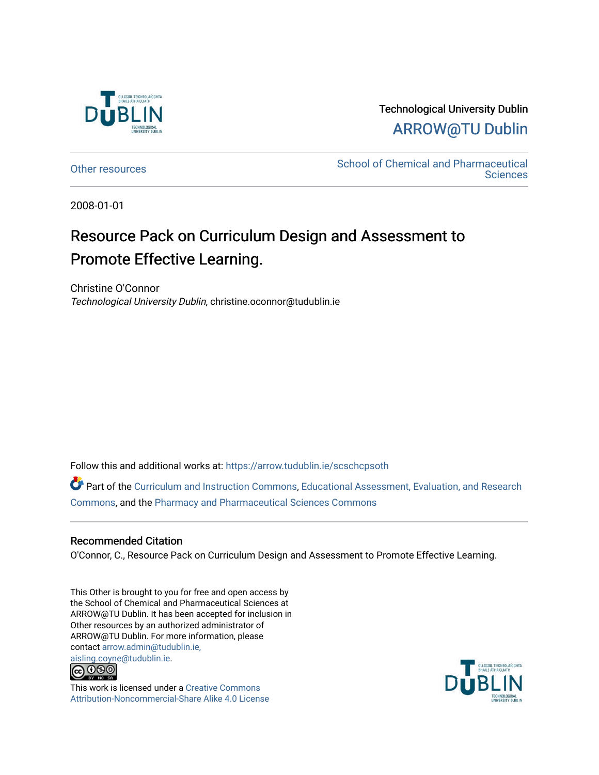

Technological University Dublin [ARROW@TU Dublin](https://arrow.tudublin.ie/) 

[Other resources](https://arrow.tudublin.ie/scschcpsoth) School of Chemical and Pharmaceutical<br>Chemical and Pharmaceutical **Sciences** 

2008-01-01

## Resource Pack on Curriculum Design and Assessment to Promote Effective Learning.

Christine O'Connor Technological University Dublin, christine.oconnor@tudublin.ie

Follow this and additional works at: [https://arrow.tudublin.ie/scschcpsoth](https://arrow.tudublin.ie/scschcpsoth?utm_source=arrow.tudublin.ie%2Fscschcpsoth%2F1&utm_medium=PDF&utm_campaign=PDFCoverPages) 

Part of the [Curriculum and Instruction Commons,](http://network.bepress.com/hgg/discipline/786?utm_source=arrow.tudublin.ie%2Fscschcpsoth%2F1&utm_medium=PDF&utm_campaign=PDFCoverPages) Educational Assessment, Evaluation, and Research [Commons](http://network.bepress.com/hgg/discipline/796?utm_source=arrow.tudublin.ie%2Fscschcpsoth%2F1&utm_medium=PDF&utm_campaign=PDFCoverPages), and the [Pharmacy and Pharmaceutical Sciences Commons](http://network.bepress.com/hgg/discipline/731?utm_source=arrow.tudublin.ie%2Fscschcpsoth%2F1&utm_medium=PDF&utm_campaign=PDFCoverPages)

## Recommended Citation

O'Connor, C., Resource Pack on Curriculum Design and Assessment to Promote Effective Learning.

This Other is brought to you for free and open access by the School of Chemical and Pharmaceutical Sciences at ARROW@TU Dublin. It has been accepted for inclusion in Other resources by an authorized administrator of ARROW@TU Dublin. For more information, please contact [arrow.admin@tudublin.ie,](mailto:arrow.admin@tudublin.ie,%20aisling.coyne@tudublin.ie) 



This work is licensed under a [Creative Commons](http://creativecommons.org/licenses/by-nc-sa/4.0/) [Attribution-Noncommercial-Share Alike 4.0 License](http://creativecommons.org/licenses/by-nc-sa/4.0/)

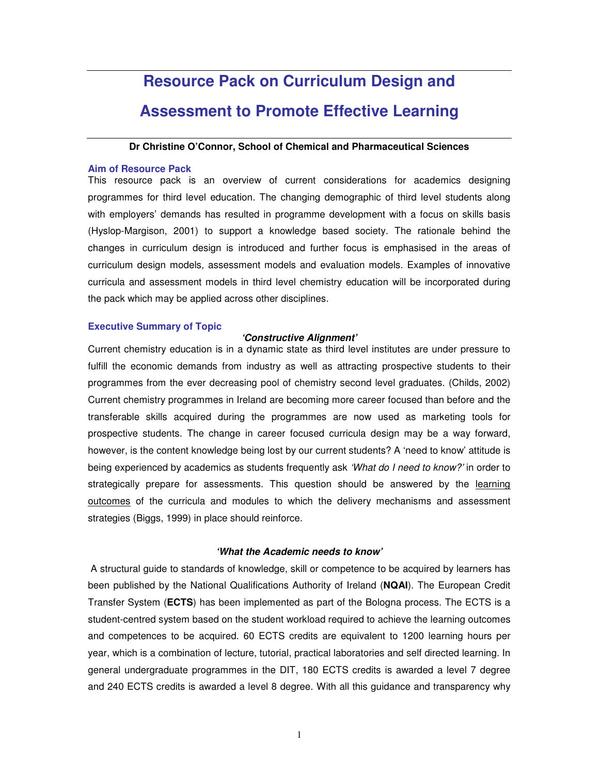# **Resource Pack on Curriculum Design and Assessment to Promote Effective Learning**

## **Dr Christine O'Connor, School of Chemical and Pharmaceutical Sciences**

#### **Aim of Resource Pack**

This resource pack is an overview of current considerations for academics designing programmes for third level education. The changing demographic of third level students along with employers' demands has resulted in programme development with a focus on skills basis (Hyslop-Margison, 2001) to support a knowledge based society. The rationale behind the changes in curriculum design is introduced and further focus is emphasised in the areas of curriculum design models, assessment models and evaluation models. Examples of innovative curricula and assessment models in third level chemistry education will be incorporated during the pack which may be applied across other disciplines.

#### **Executive Summary of Topic**

#### **'Constructive Alignment'**

Current chemistry education is in a dynamic state as third level institutes are under pressure to fulfill the economic demands from industry as well as attracting prospective students to their programmes from the ever decreasing pool of chemistry second level graduates. (Childs, 2002) Current chemistry programmes in Ireland are becoming more career focused than before and the transferable skills acquired during the programmes are now used as marketing tools for prospective students. The change in career focused curricula design may be a way forward, however, is the content knowledge being lost by our current students? A 'need to know' attitude is being experienced by academics as students frequently ask 'What do I need to know?' in order to strategically prepare for assessments. This question should be answered by the learning outcomes of the curricula and modules to which the delivery mechanisms and assessment strategies (Biggs, 1999) in place should reinforce.

## **'What the Academic needs to know'**

 A structural guide to standards of knowledge, skill or competence to be acquired by learners has been published by the National Qualifications Authority of Ireland (**NQAI**). The European Credit Transfer System (**ECTS**) has been implemented as part of the Bologna process. The ECTS is a student-centred system based on the student workload required to achieve the learning outcomes and competences to be acquired. 60 ECTS credits are equivalent to 1200 learning hours per year, which is a combination of lecture, tutorial, practical laboratories and self directed learning. In general undergraduate programmes in the DIT, 180 ECTS credits is awarded a level 7 degree and 240 ECTS credits is awarded a level 8 degree. With all this guidance and transparency why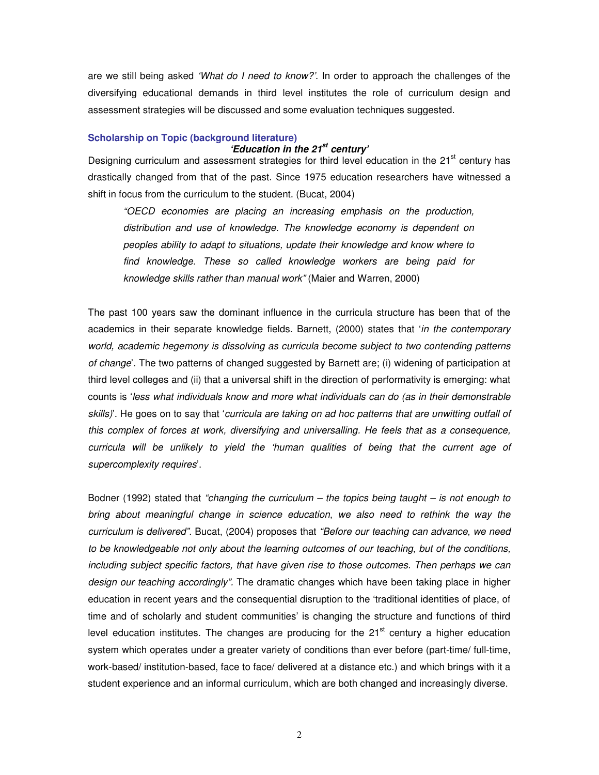are we still being asked 'What do I need to know?'. In order to approach the challenges of the diversifying educational demands in third level institutes the role of curriculum design and assessment strategies will be discussed and some evaluation techniques suggested.

## **Scholarship on Topic (background literature)**

## **'Education in the 21st century'**

Designing curriculum and assessment strategies for third level education in the 21<sup>st</sup> century has drastically changed from that of the past. Since 1975 education researchers have witnessed a shift in focus from the curriculum to the student. (Bucat, 2004)

"OECD economies are placing an increasing emphasis on the production, distribution and use of knowledge. The knowledge economy is dependent on peoples ability to adapt to situations, update their knowledge and know where to find knowledge. These so called knowledge workers are being paid for knowledge skills rather than manual work" (Maier and Warren, 2000)

The past 100 years saw the dominant influence in the curricula structure has been that of the academics in their separate knowledge fields. Barnett, (2000) states that 'in the contemporary world, academic hegemony is dissolving as curricula become subject to two contending patterns of change'. The two patterns of changed suggested by Barnett are; (i) widening of participation at third level colleges and (ii) that a universal shift in the direction of performativity is emerging: what counts is 'less what individuals know and more what individuals can do (as in their demonstrable skills)'. He goes on to say that 'curricula are taking on ad hoc patterns that are unwitting outfall of this complex of forces at work, diversifying and universalling. He feels that as a consequence, curricula will be unlikely to yield the 'human qualities of being that the current age of supercomplexity requires'.

Bodner (1992) stated that "changing the curriculum – the topics being taught – is not enough to bring about meaningful change in science education, we also need to rethink the way the curriculum is delivered". Bucat, (2004) proposes that "Before our teaching can advance, we need to be knowledgeable not only about the learning outcomes of our teaching, but of the conditions, including subject specific factors, that have given rise to those outcomes. Then perhaps we can design our teaching accordingly". The dramatic changes which have been taking place in higher education in recent years and the consequential disruption to the 'traditional identities of place, of time and of scholarly and student communities' is changing the structure and functions of third level education institutes. The changes are producing for the  $21<sup>st</sup>$  century a higher education system which operates under a greater variety of conditions than ever before (part-time/ full-time, work-based/ institution-based, face to face/ delivered at a distance etc.) and which brings with it a student experience and an informal curriculum, which are both changed and increasingly diverse.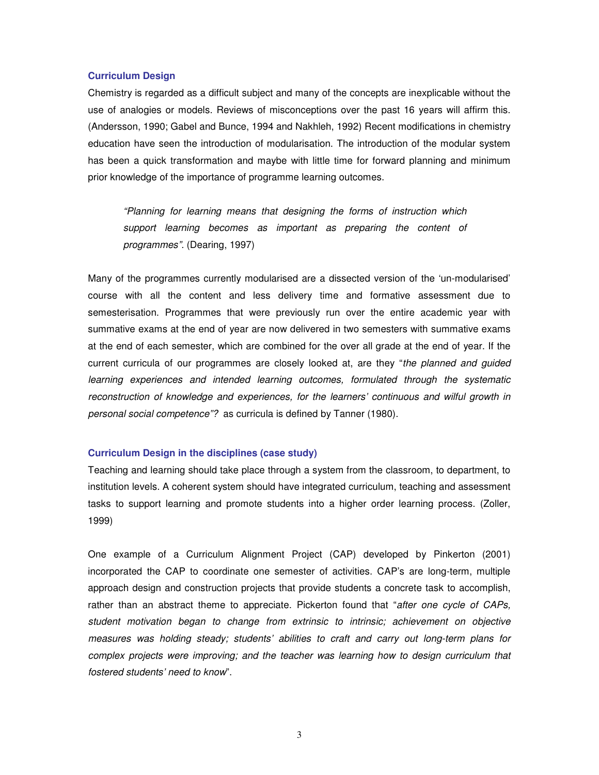## **Curriculum Design**

Chemistry is regarded as a difficult subject and many of the concepts are inexplicable without the use of analogies or models. Reviews of misconceptions over the past 16 years will affirm this. (Andersson, 1990; Gabel and Bunce, 1994 and Nakhleh, 1992) Recent modifications in chemistry education have seen the introduction of modularisation. The introduction of the modular system has been a quick transformation and maybe with little time for forward planning and minimum prior knowledge of the importance of programme learning outcomes.

"Planning for learning means that designing the forms of instruction which support learning becomes as important as preparing the content of programmes". (Dearing, 1997)

Many of the programmes currently modularised are a dissected version of the 'un-modularised' course with all the content and less delivery time and formative assessment due to semesterisation. Programmes that were previously run over the entire academic year with summative exams at the end of year are now delivered in two semesters with summative exams at the end of each semester, which are combined for the over all grade at the end of year. If the current curricula of our programmes are closely looked at, are they "the planned and guided learning experiences and intended learning outcomes, formulated through the systematic reconstruction of knowledge and experiences, for the learners' continuous and wilful growth in personal social competence"? as curricula is defined by Tanner (1980).

## **Curriculum Design in the disciplines (case study)**

Teaching and learning should take place through a system from the classroom, to department, to institution levels. A coherent system should have integrated curriculum, teaching and assessment tasks to support learning and promote students into a higher order learning process. (Zoller, 1999)

One example of a Curriculum Alignment Project (CAP) developed by Pinkerton (2001) incorporated the CAP to coordinate one semester of activities. CAP's are long-term, multiple approach design and construction projects that provide students a concrete task to accomplish, rather than an abstract theme to appreciate. Pickerton found that "after one cycle of CAPs, student motivation began to change from extrinsic to intrinsic; achievement on objective measures was holding steady; students' abilities to craft and carry out long-term plans for complex projects were improving; and the teacher was learning how to design curriculum that fostered students' need to know".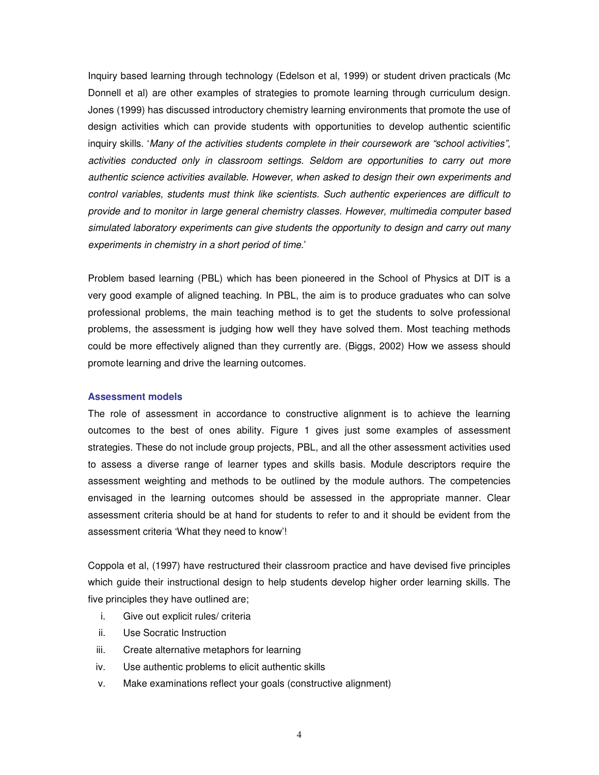Inquiry based learning through technology (Edelson et al, 1999) or student driven practicals (Mc Donnell et al) are other examples of strategies to promote learning through curriculum design. Jones (1999) has discussed introductory chemistry learning environments that promote the use of design activities which can provide students with opportunities to develop authentic scientific inquiry skills. 'Many of the activities students complete in their coursework are "school activities", activities conducted only in classroom settings. Seldom are opportunities to carry out more authentic science activities available. However, when asked to design their own experiments and control variables, students must think like scientists. Such authentic experiences are difficult to provide and to monitor in large general chemistry classes. However, multimedia computer based simulated laboratory experiments can give students the opportunity to design and carry out many experiments in chemistry in a short period of time.'

Problem based learning (PBL) which has been pioneered in the School of Physics at DIT is a very good example of aligned teaching. In PBL, the aim is to produce graduates who can solve professional problems, the main teaching method is to get the students to solve professional problems, the assessment is judging how well they have solved them. Most teaching methods could be more effectively aligned than they currently are. (Biggs, 2002) How we assess should promote learning and drive the learning outcomes.

## **Assessment models**

The role of assessment in accordance to constructive alignment is to achieve the learning outcomes to the best of ones ability. Figure 1 gives just some examples of assessment strategies. These do not include group projects, PBL, and all the other assessment activities used to assess a diverse range of learner types and skills basis. Module descriptors require the assessment weighting and methods to be outlined by the module authors. The competencies envisaged in the learning outcomes should be assessed in the appropriate manner. Clear assessment criteria should be at hand for students to refer to and it should be evident from the assessment criteria 'What they need to know'!

Coppola et al, (1997) have restructured their classroom practice and have devised five principles which guide their instructional design to help students develop higher order learning skills. The five principles they have outlined are;

- i. Give out explicit rules/ criteria
- ii. Use Socratic Instruction
- iii. Create alternative metaphors for learning
- iv. Use authentic problems to elicit authentic skills
- v. Make examinations reflect your goals (constructive alignment)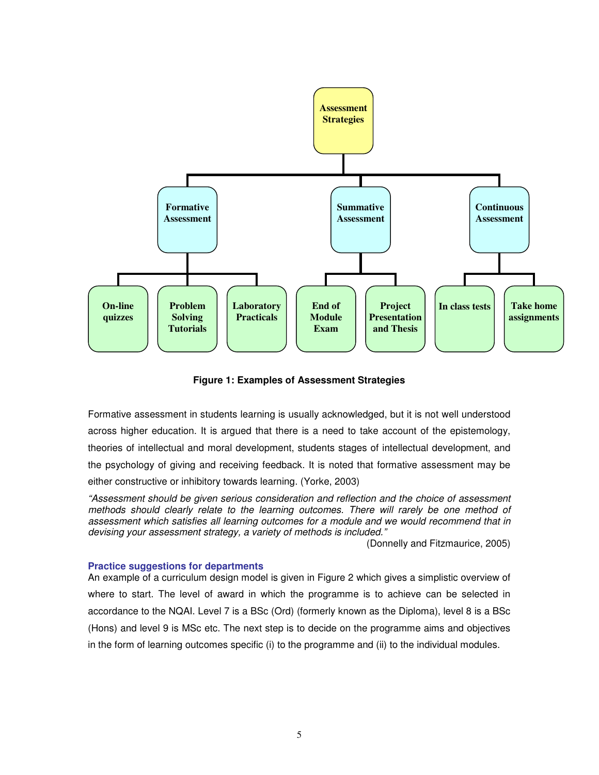

**Figure 1: Examples of Assessment Strategies** 

Formative assessment in students learning is usually acknowledged, but it is not well understood across higher education. It is argued that there is a need to take account of the epistemology, theories of intellectual and moral development, students stages of intellectual development, and the psychology of giving and receiving feedback. It is noted that formative assessment may be either constructive or inhibitory towards learning. (Yorke, 2003)

"Assessment should be given serious consideration and reflection and the choice of assessment methods should clearly relate to the learning outcomes. There will rarely be one method of assessment which satisfies all learning outcomes for a module and we would recommend that in devising your assessment strategy, a variety of methods is included."

(Donnelly and Fitzmaurice, 2005)

### **Practice suggestions for departments**

An example of a curriculum design model is given in Figure 2 which gives a simplistic overview of where to start. The level of award in which the programme is to achieve can be selected in accordance to the NQAI. Level 7 is a BSc (Ord) (formerly known as the Diploma), level 8 is a BSc (Hons) and level 9 is MSc etc. The next step is to decide on the programme aims and objectives in the form of learning outcomes specific (i) to the programme and (ii) to the individual modules.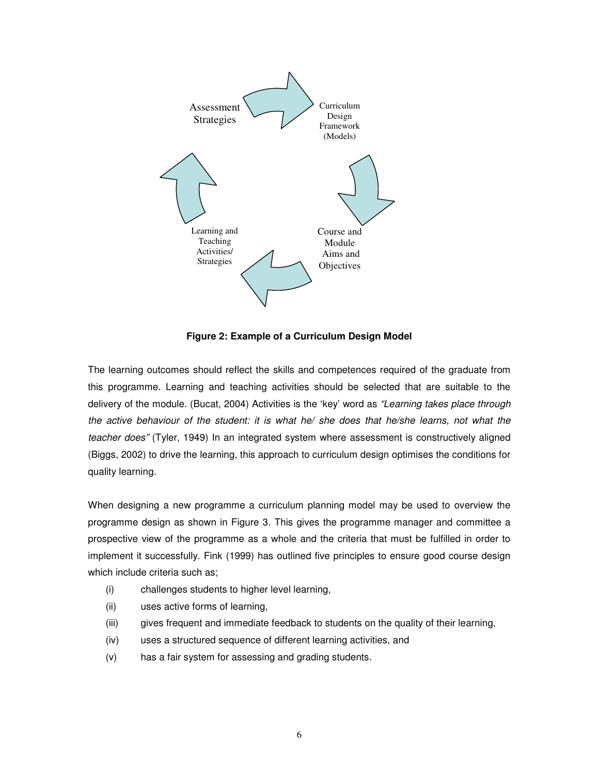

**Figure 2: Example of a Curriculum Design Model** 

The learning outcomes should reflect the skills and competences required of the graduate from this programme. Learning and teaching activities should be selected that are suitable to the delivery of the module. (Bucat, 2004) Activities is the 'key' word as "Learning takes place through the active behaviour of the student: it is what he/ she does that he/she learns, not what the teacher does" (Tyler, 1949) In an integrated system where assessment is constructively aligned (Biggs, 2002) to drive the learning, this approach to curriculum design optimises the conditions for quality learning.

When designing a new programme a curriculum planning model may be used to overview the programme design as shown in Figure 3. This gives the programme manager and committee a prospective view of the programme as a whole and the criteria that must be fulfilled in order to implement it successfully. Fink (1999) has outlined five principles to ensure good course design which include criteria such as;

- (i) challenges students to higher level learning,
- (ii) uses active forms of learning,
- (iii) gives frequent and immediate feedback to students on the quality of their learning,
- (iv) uses a structured sequence of different learning activities, and
- (v) has a fair system for assessing and grading students.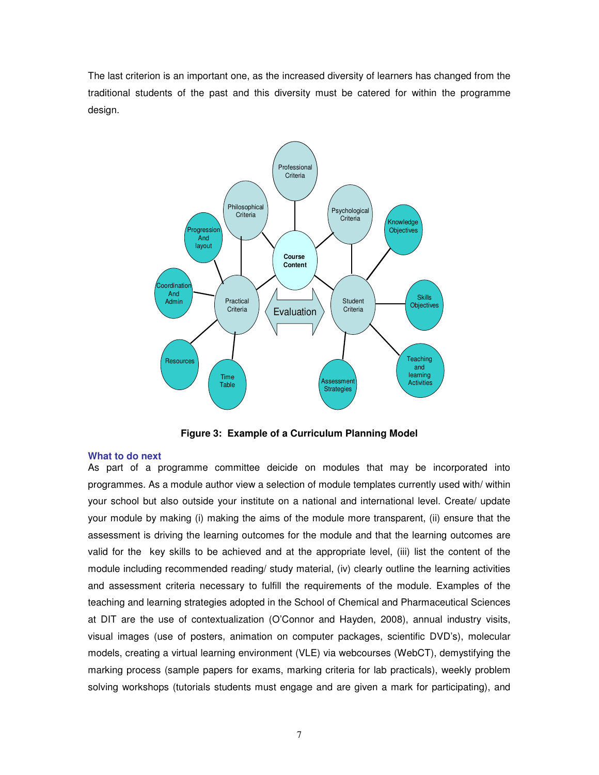The last criterion is an important one, as the increased diversity of learners has changed from the traditional students of the past and this diversity must be catered for within the programme design.



**Figure 3: Example of a Curriculum Planning Model** 

### **What to do next**

As part of a programme committee deicide on modules that may be incorporated into programmes. As a module author view a selection of module templates currently used with/ within your school but also outside your institute on a national and international level. Create/ update your module by making (i) making the aims of the module more transparent, (ii) ensure that the assessment is driving the learning outcomes for the module and that the learning outcomes are valid for the key skills to be achieved and at the appropriate level, (iii) list the content of the module including recommended reading/ study material, (iv) clearly outline the learning activities and assessment criteria necessary to fulfill the requirements of the module. Examples of the teaching and learning strategies adopted in the School of Chemical and Pharmaceutical Sciences at DIT are the use of contextualization (O'Connor and Hayden, 2008), annual industry visits, visual images (use of posters, animation on computer packages, scientific DVD's), molecular models, creating a virtual learning environment (VLE) via webcourses (WebCT), demystifying the marking process (sample papers for exams, marking criteria for lab practicals), weekly problem solving workshops (tutorials students must engage and are given a mark for participating), and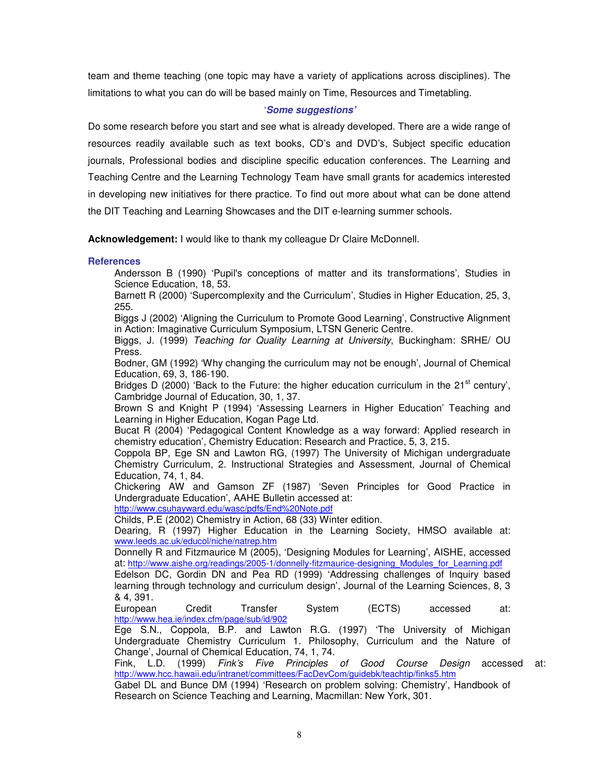team and theme teaching (one topic may have a variety of applications across disciplines). The limitations to what you can do will be based mainly on Time, Resources and Timetabling.

## '**Some suggestions'**

Do some research before you start and see what is already developed. There are a wide range of resources readily available such as text books, CD's and DVD's, Subject specific education journals, Professional bodies and discipline specific education conferences. The Learning and Teaching Centre and the Learning Technology Team have small grants for academics interested in developing new initiatives for there practice. To find out more about what can be done attend the DIT Teaching and Learning Showcases and the DIT e-learning summer schools.

**Acknowledgement:** I would like to thank my colleague Dr Claire McDonnell.

## **References**

Andersson B (1990) 'Pupil's conceptions of matter and its transformations', Studies in Science Education, 18, 53.

Barnett R (2000) 'Supercomplexity and the Curriculum', Studies in Higher Education, 25, 3, 255.

Biggs J (2002) 'Aligning the Curriculum to Promote Good Learning', Constructive Alignment in Action: Imaginative Curriculum Symposium, LTSN Generic Centre.

Biggs, J. (1999) Teaching for Quality Learning at University, Buckingham: SRHE/ OU Press.

Bodner, GM (1992) 'Why changing the curriculum may not be enough', Journal of Chemical Education, 69, 3, 186-190.

Bridges D (2000) 'Back to the Future: the higher education curriculum in the 21<sup>st</sup> century', Cambridge Journal of Education, 30, 1, 37.

Brown S and Knight P (1994) 'Assessing Learners in Higher Education' Teaching and Learning in Higher Education, Kogan Page Ltd.

Bucat R (2004) 'Pedagogical Content Knowledge as a way forward: Applied research in chemistry education', Chemistry Education: Research and Practice, 5, 3, 215.

Coppola BP, Ege SN and Lawton RG, (1997) The University of Michigan undergraduate Chemistry Curriculum, 2. Instructional Strategies and Assessment, Journal of Chemical Education, 74, 1, 84.

Chickering AW and Gamson ZF (1987) 'Seven Principles for Good Practice in Undergraduate Education', AAHE Bulletin accessed at:

http://www.csuhayward.edu/wasc/pdfs/End%20Note.pdf

Childs, P.E (2002) Chemistry in Action, 68 (33) Winter edition.

Dearing, R (1997) Higher Education in the Learning Society, HMSO available at: www.leeds.ac.uk/educol/niche/natrep.htm

Donnelly R and Fitzmaurice M (2005), 'Designing Modules for Learning', AISHE, accessed at: http://www.aishe.org/readings/2005-1/donnelly-fitzmaurice-designing\_Modules\_for\_Learning.pdf

Edelson DC, Gordin DN and Pea RD (1999) 'Addressing challenges of Inquiry based learning through technology and curriculum design', Journal of the Learning Sciences, 8, 3 & 4, 391.

European Credit Transfer System (ECTS) accessed at: http://www.hea.ie/index.cfm/page/sub/id/902

Ege S.N., Coppola, B.P. and Lawton R.G. (1997) 'The University of Michigan Undergraduate Chemistry Curriculum 1. Philosophy, Curriculum and the Nature of Change', Journal of Chemical Education, 74, 1, 74.

Fink, L.D. (1999) Fink's Five Principles of Good Course Design accessed at: http://www.hcc.hawaii.edu/intranet/committees/FacDevCom/guidebk/teachtip/finks5.htm

Gabel DL and Bunce DM (1994) 'Research on problem solving: Chemistry', Handbook of Research on Science Teaching and Learning, Macmillan: New York, 301.